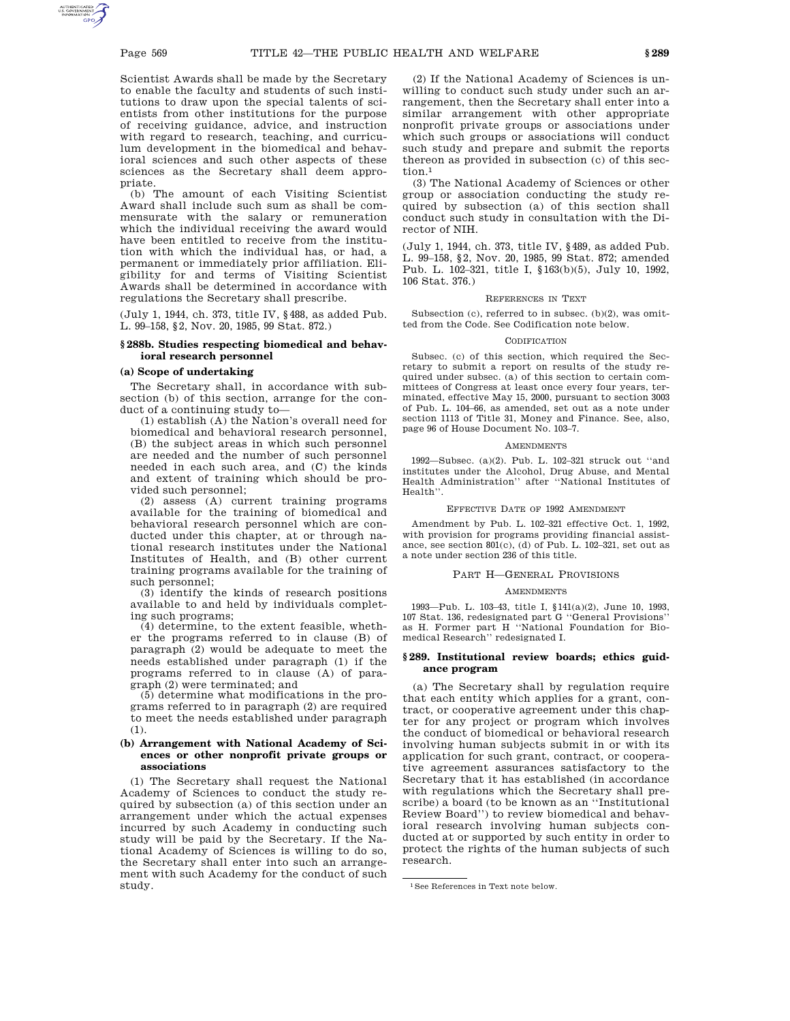Scientist Awards shall be made by the Secretary to enable the faculty and students of such institutions to draw upon the special talents of scientists from other institutions for the purpose of receiving guidance, advice, and instruction with regard to research, teaching, and curriculum development in the biomedical and behavioral sciences and such other aspects of these sciences as the Secretary shall deem appropriate.

(b) The amount of each Visiting Scientist Award shall include such sum as shall be commensurate with the salary or remuneration which the individual receiving the award would have been entitled to receive from the institution with which the individual has, or had, a permanent or immediately prior affiliation. Eligibility for and terms of Visiting Scientist Awards shall be determined in accordance with regulations the Secretary shall prescribe.

(July 1, 1944, ch. 373, title IV, §488, as added Pub. L. 99–158, §2, Nov. 20, 1985, 99 Stat. 872.)

### **§ 288b. Studies respecting biomedical and behavioral research personnel**

# **(a) Scope of undertaking**

The Secretary shall, in accordance with subsection (b) of this section, arrange for the conduct of a continuing study to—

(1) establish (A) the Nation's overall need for biomedical and behavioral research personnel, (B) the subject areas in which such personnel are needed and the number of such personnel needed in each such area, and (C) the kinds and extent of training which should be provided such personnel;

(2) assess (A) current training programs available for the training of biomedical and behavioral research personnel which are conducted under this chapter, at or through national research institutes under the National Institutes of Health, and (B) other current training programs available for the training of such personnel;

(3) identify the kinds of research positions available to and held by individuals completing such programs;

(4) determine, to the extent feasible, whether the programs referred to in clause (B) of paragraph (2) would be adequate to meet the needs established under paragraph (1) if the programs referred to in clause (A) of paragraph (2) were terminated; and

(5) determine what modifications in the programs referred to in paragraph (2) are required to meet the needs established under paragraph (1).

# **(b) Arrangement with National Academy of Sciences or other nonprofit private groups or associations**

(1) The Secretary shall request the National Academy of Sciences to conduct the study required by subsection (a) of this section under an arrangement under which the actual expenses incurred by such Academy in conducting such study will be paid by the Secretary. If the National Academy of Sciences is willing to do so, the Secretary shall enter into such an arrangement with such Academy for the conduct of such study.

(2) If the National Academy of Sciences is unwilling to conduct such study under such an arrangement, then the Secretary shall enter into a similar arrangement with other appropriate nonprofit private groups or associations under which such groups or associations will conduct such study and prepare and submit the reports thereon as provided in subsection (c) of this section<sup>1</sup>

(3) The National Academy of Sciences or other group or association conducting the study required by subsection (a) of this section shall conduct such study in consultation with the Director of NIH.

(July 1, 1944, ch. 373, title IV, §489, as added Pub. L. 99–158, §2, Nov. 20, 1985, 99 Stat. 872; amended Pub. L. 102–321, title I, §163(b)(5), July 10, 1992, 106 Stat. 376.)

# REFERENCES IN TEXT

Subsection (c), referred to in subsec. (b)(2), was omitted from the Code. See Codification note below.

# CODIFICATION

Subsec. (c) of this section, which required the Secretary to submit a report on results of the study required under subsec. (a) of this section to certain committees of Congress at least once every four years, terminated, effective May 15, 2000, pursuant to section 3003 of Pub. L. 104–66, as amended, set out as a note under section 1113 of Title 31, Money and Finance. See, also, page 96 of House Document No. 103–7.

#### **AMENDMENTS**

1992—Subsec. (a)(2). Pub. L. 102–321 struck out ''and institutes under the Alcohol, Drug Abuse, and Mental Health Administration'' after ''National Institutes of Health''.

### EFFECTIVE DATE OF 1992 AMENDMENT

Amendment by Pub. L. 102–321 effective Oct. 1, 1992, with provision for programs providing financial assistance, see section 801(c), (d) of Pub. L. 102–321, set out as a note under section 236 of this title.

### PART H—GENERAL PROVISIONS

#### **AMENDMENTS**

1993—Pub. L. 103–43, title I, §141(a)(2), June 10, 1993, 107 Stat. 136, redesignated part G ''General Provisions'' as H. Former part H ''National Foundation for Biomedical Research'' redesignated I.

### **§ 289. Institutional review boards; ethics guidance program**

(a) The Secretary shall by regulation require that each entity which applies for a grant, contract, or cooperative agreement under this chapter for any project or program which involves the conduct of biomedical or behavioral research involving human subjects submit in or with its application for such grant, contract, or cooperative agreement assurances satisfactory to the Secretary that it has established (in accordance with regulations which the Secretary shall prescribe) a board (to be known as an ''Institutional Review Board'') to review biomedical and behavioral research involving human subjects conducted at or supported by such entity in order to protect the rights of the human subjects of such research.

<sup>1</sup>See References in Text note below.